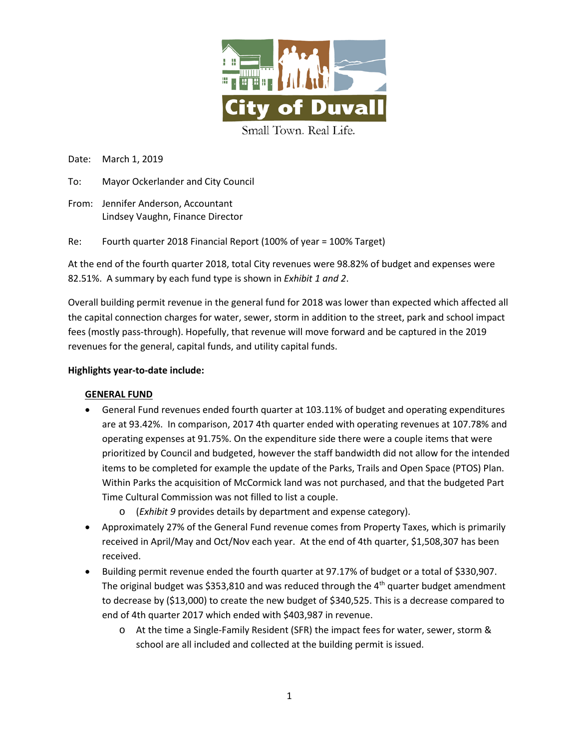

Date: March 1, 2019

- To: Mayor Ockerlander and City Council
- From: Jennifer Anderson, Accountant Lindsey Vaughn, Finance Director

Re: Fourth quarter 2018 Financial Report (100% of year = 100% Target)

At the end of the fourth quarter 2018, total City revenues were 98.82% of budget and expenses were 82.51%. A summary by each fund type is shown in *Exhibit 1 and 2*.

Overall building permit revenue in the general fund for 2018 was lower than expected which affected all the capital connection charges for water, sewer, storm in addition to the street, park and school impact fees (mostly pass-through). Hopefully, that revenue will move forward and be captured in the 2019 revenues for the general, capital funds, and utility capital funds.

#### **Highlights year-to-date include:**

# **GENERAL FUND**

- General Fund revenues ended fourth quarter at 103.11% of budget and operating expenditures are at 93.42%. In comparison, 2017 4th quarter ended with operating revenues at 107.78% and operating expenses at 91.75%. On the expenditure side there were a couple items that were prioritized by Council and budgeted, however the staff bandwidth did not allow for the intended items to be completed for example the update of the Parks, Trails and Open Space (PTOS) Plan. Within Parks the acquisition of McCormick land was not purchased, and that the budgeted Part Time Cultural Commission was not filled to list a couple.
	- o (*Exhibit 9* provides details by department and expense category).
- Approximately 27% of the General Fund revenue comes from Property Taxes, which is primarily received in April/May and Oct/Nov each year. At the end of 4th quarter, \$1,508,307 has been received.
- Building permit revenue ended the fourth quarter at 97.17% of budget or a total of \$330,907. The original budget was \$353,810 and was reduced through the  $4<sup>th</sup>$  quarter budget amendment to decrease by (\$13,000) to create the new budget of \$340,525. This is a decrease compared to end of 4th quarter 2017 which ended with \$403,987 in revenue.
	- o At the time a Single-Family Resident (SFR) the impact fees for water, sewer, storm & school are all included and collected at the building permit is issued.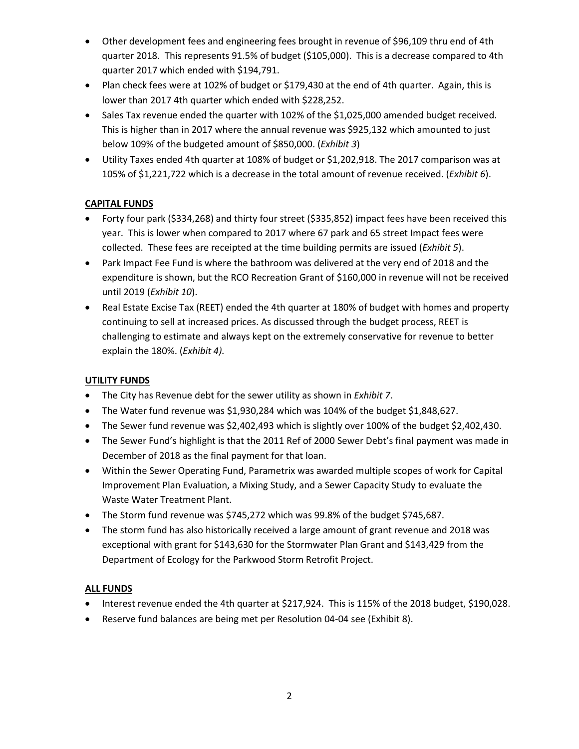- Other development fees and engineering fees brought in revenue of \$96,109 thru end of 4th quarter 2018. This represents 91.5% of budget (\$105,000). This is a decrease compared to 4th quarter 2017 which ended with \$194,791.
- Plan check fees were at 102% of budget or \$179,430 at the end of 4th quarter. Again, this is lower than 2017 4th quarter which ended with \$228,252.
- Sales Tax revenue ended the quarter with 102% of the \$1,025,000 amended budget received. This is higher than in 2017 where the annual revenue was \$925,132 which amounted to just below 109% of the budgeted amount of \$850,000. (*Exhibit 3*)
- Utility Taxes ended 4th quarter at 108% of budget or \$1,202,918. The 2017 comparison was at 105% of \$1,221,722 which is a decrease in the total amount of revenue received. (*Exhibit 6*).

# **CAPITAL FUNDS**

- Forty four park (\$334,268) and thirty four street (\$335,852) impact fees have been received this year. This is lower when compared to 2017 where 67 park and 65 street Impact fees were collected. These fees are receipted at the time building permits are issued (*Exhibit 5*).
- Park Impact Fee Fund is where the bathroom was delivered at the very end of 2018 and the expenditure is shown, but the RCO Recreation Grant of \$160,000 in revenue will not be received until 2019 (*Exhibit 10*).
- Real Estate Excise Tax (REET) ended the 4th quarter at 180% of budget with homes and property continuing to sell at increased prices. As discussed through the budget process, REET is challenging to estimate and always kept on the extremely conservative for revenue to better explain the 180%. (*Exhibit 4).*

# **UTILITY FUNDS**

- The City has Revenue debt for the sewer utility as shown in *Exhibit 7*.
- The Water fund revenue was \$1,930,284 which was 104% of the budget \$1,848,627.
- The Sewer fund revenue was \$2,402,493 which is slightly over 100% of the budget \$2,402,430.
- The Sewer Fund's highlight is that the 2011 Ref of 2000 Sewer Debt's final payment was made in December of 2018 as the final payment for that loan.
- Within the Sewer Operating Fund, Parametrix was awarded multiple scopes of work for Capital Improvement Plan Evaluation, a Mixing Study, and a Sewer Capacity Study to evaluate the Waste Water Treatment Plant.
- The Storm fund revenue was \$745,272 which was 99.8% of the budget \$745,687.
- The storm fund has also historically received a large amount of grant revenue and 2018 was exceptional with grant for \$143,630 for the Stormwater Plan Grant and \$143,429 from the Department of Ecology for the Parkwood Storm Retrofit Project.

#### **ALL FUNDS**

- Interest revenue ended the 4th quarter at \$217,924. This is 115% of the 2018 budget, \$190,028.
- Reserve fund balances are being met per Resolution 04-04 see (Exhibit 8).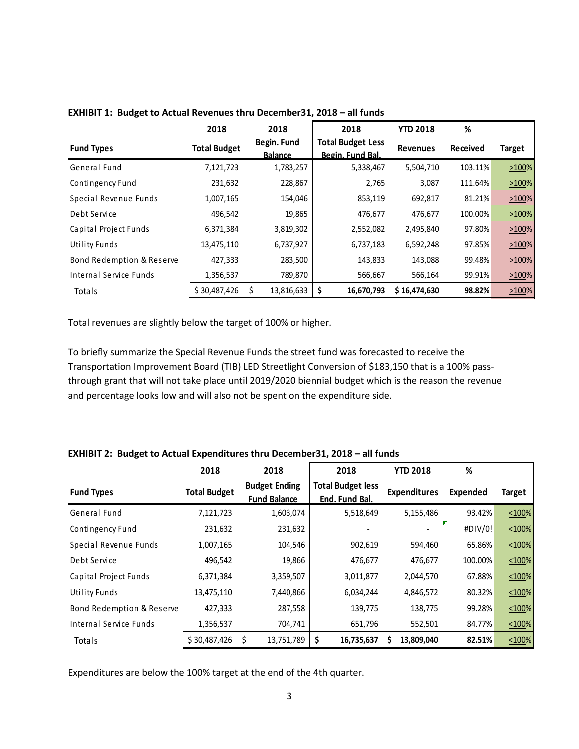|                           | 2018                | 2018                          | 2018                                         | <b>YTD 2018</b> | %               |            |
|---------------------------|---------------------|-------------------------------|----------------------------------------------|-----------------|-----------------|------------|
| <b>Fund Types</b>         | <b>Total Budget</b> | Begin. Fund<br><b>Balance</b> | <b>Total Budget Less</b><br>Begin, Fund Bal. | <b>Revenues</b> | <b>Received</b> | Target     |
| General Fund              | 7,121,723           | 1,783,257                     | 5,338,467                                    | 5,504,710       | 103.11%         | >100%      |
| Contingency Fund          | 231,632             | 228,867                       | 2,765                                        | 3,087           | 111.64%         | 2100%      |
| Special Revenue Funds     | 1,007,165           | 154,046                       | 853,119                                      | 692,817         | 81.21%          | >100%      |
| Debt Service              | 496,542             | 19,865                        | 476,677                                      | 476,677         | 100.00%         | >100%      |
| Capital Project Funds     | 6,371,384           | 3,819,302                     | 2,552,082                                    | 2,495,840       | 97.80%          | >100%      |
| <b>Utility Funds</b>      | 13,475,110          | 6,737,927                     | 6,737,183                                    | 6,592,248       | 97.85%          | 2100%      |
| Bond Redemption & Reserve | 427,333             | 283,500                       | 143,833                                      | 143,088         | 99.48%          | >100%      |
| Internal Service Funds    | 1,356,537           | 789,870                       | 566,667                                      | 566,164         | 99.91%          | >100%      |
| Totals                    | \$30,487,426        | 13,816,633                    | 16,670,793<br>\$                             | \$16,474,630    | 98.82%          | $ 2100\% $ |

**EXHIBIT 1: Budget to Actual Revenues thru December31, 2018 – all funds**

Total revenues are slightly below the target of 100% or higher.

To briefly summarize the Special Revenue Funds the street fund was forecasted to receive the Transportation Improvement Board (TIB) LED Streetlight Conversion of \$183,150 that is a 100% passthrough grant that will not take place until 2019/2020 biennial budget which is the reason the revenue and percentage looks low and will also not be spent on the expenditure side.

|  |  |  | EXHIBIT 2: Budget to Actual Expenditures thru December 31, 2018 - all funds |  |
|--|--|--|-----------------------------------------------------------------------------|--|
|--|--|--|-----------------------------------------------------------------------------|--|

|                               | 2018                | 2018                                        | 2018                                       | <b>YTD 2018</b>     | %               |               |
|-------------------------------|---------------------|---------------------------------------------|--------------------------------------------|---------------------|-----------------|---------------|
| <b>Fund Types</b>             | <b>Total Budget</b> | <b>Budget Ending</b><br><b>Fund Balance</b> | <b>Total Budget less</b><br>End. Fund Bal. | <b>Expenditures</b> | <b>Expended</b> | <b>Target</b> |
| General Fund                  | 7,121,723           | 1,603,074                                   | 5,518,649                                  | 5,155,486           | 93.42%          | $\leq 100\%$  |
| Contingency Fund              | 231,632             | 231,632                                     |                                            |                     | #DIV/0!         | $\leq 100\%$  |
| Special Revenue Funds         | 1,007,165           | 104,546                                     | 902,619                                    | 594,460             | 65.86%          | $\leq 100\%$  |
| Debt Service                  | 496,542             | 19,866                                      | 476,677                                    | 476,677             | 100.00%         | $\leq 100\%$  |
| Capital Project Funds         | 6,371,384           | 3,359,507                                   | 3,011,877                                  | 2,044,570           | 67.88%          | $\leq 100\%$  |
| <b>Utility Funds</b>          | 13,475,110          | 7,440,866                                   | 6,034,244                                  | 4,846,572           | 80.32%          | $\leq 100\%$  |
| Bond Redemption & Reserve     | 427,333             | 287,558                                     | 139,775                                    | 138,775             | 99.28%          | $\leq 100\%$  |
| <b>Internal Service Funds</b> | 1,356,537           | 704,741                                     | 651,796                                    | 552,501             | 84.77%          | $\leq 100\%$  |
| Totals                        | \$30,487,426        | 13,751,789<br>\$                            | \$<br>16,735,637                           | 13,809,040<br>S     | 82.51%          | $\leq 100\%$  |

Expenditures are below the 100% target at the end of the 4th quarter.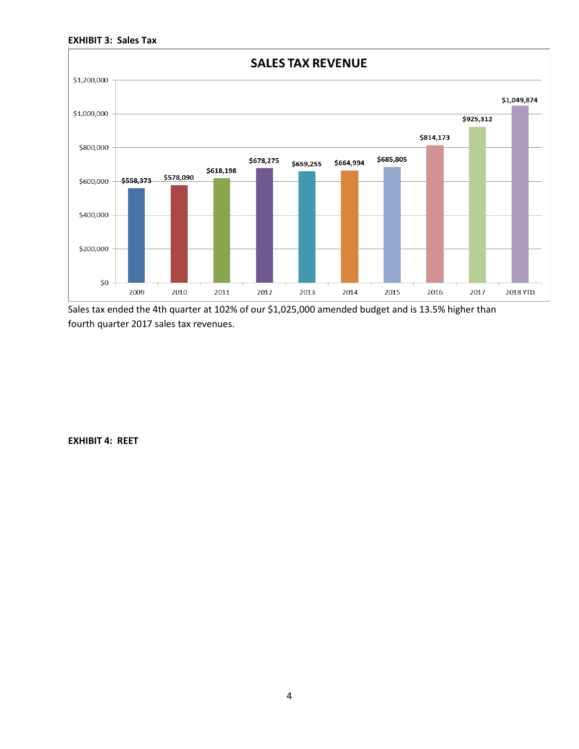



Sales tax ended the 4th quarter at 102% of our \$1,025,000 amended budget and is 13.5% higher than fourth quarter 2017 sales tax revenues.

**EXHIBIT 4: REET**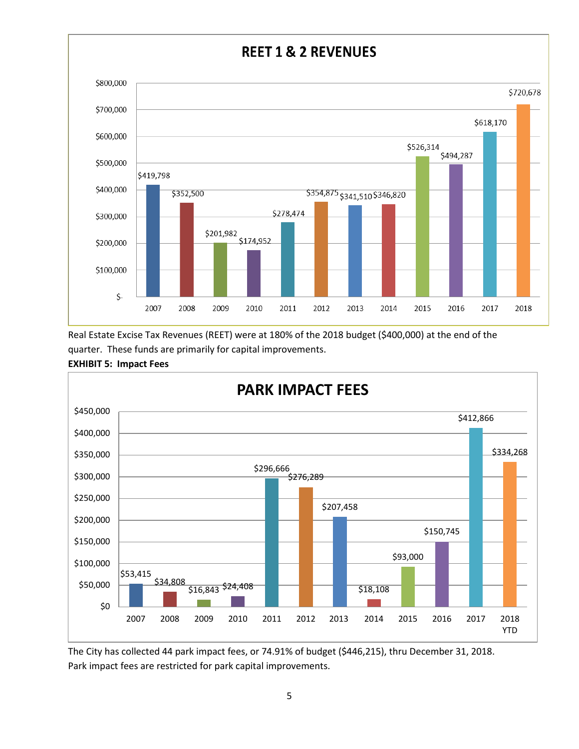

Real Estate Excise Tax Revenues (REET) were at 180% of the 2018 budget (\$400,000) at the end of the quarter. These funds are primarily for capital improvements.



**EXHIBIT 5: Impact Fees**

The City has collected 44 park impact fees, or 74.91% of budget (\$446,215), thru December 31, 2018. Park impact fees are restricted for park capital improvements.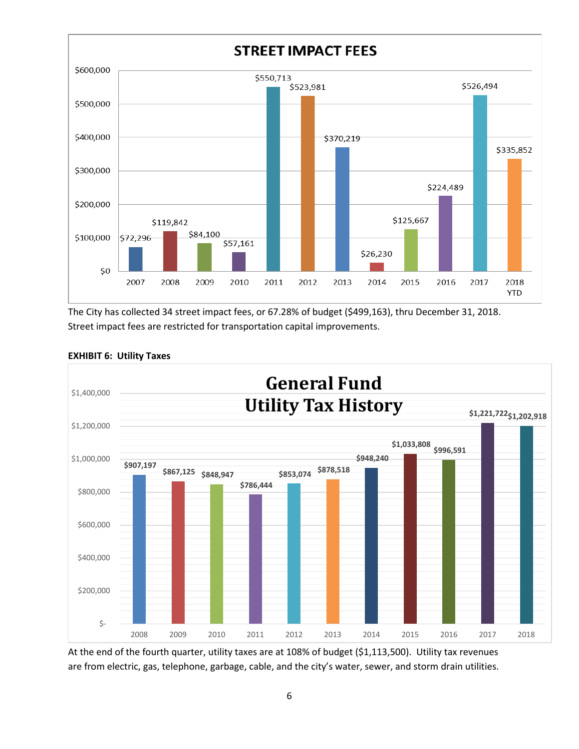

The City has collected 34 street impact fees, or 67.28% of budget (\$499,163), thru December 31, 2018. Street impact fees are restricted for transportation capital improvements.



### **EXHIBIT 6: Utility Taxes**

At the end of the fourth quarter, utility taxes are at 108% of budget (\$1,113,500). Utility tax revenues are from electric, gas, telephone, garbage, cable, and the city's water, sewer, and storm drain utilities.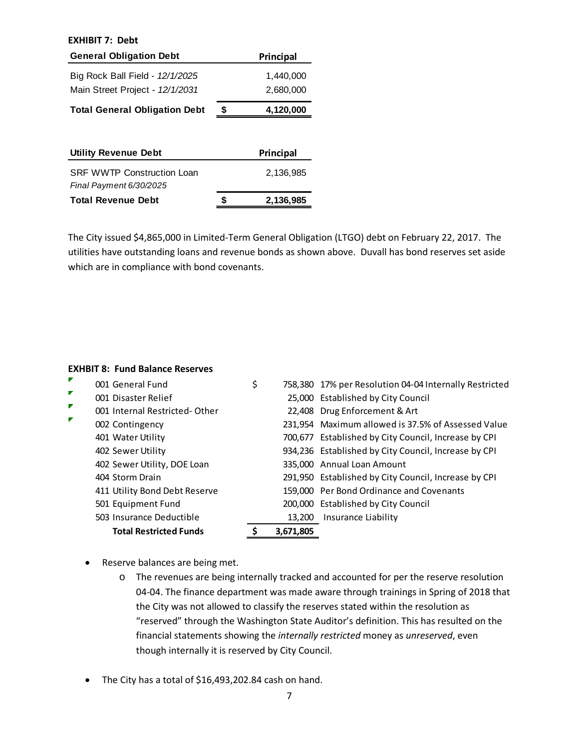#### **EXHIBIT 7: Debt**

| <b>General Obligation Debt</b>                                     | Principal              |
|--------------------------------------------------------------------|------------------------|
| Big Rock Ball Field - 12/1/2025<br>Main Street Project - 12/1/2031 | 1,440,000<br>2,680,000 |
| <b>Total General Obligation Debt</b>                               | \$<br>4,120,000        |
|                                                                    |                        |

| <b>Utility Revenue Debt</b>                                  |   | Principal |
|--------------------------------------------------------------|---|-----------|
| <b>SRF WWTP Construction Loan</b><br>Final Payment 6/30/2025 |   | 2.136.985 |
| <b>Total Revenue Debt</b>                                    | S | 2,136,985 |

The City issued \$4,865,000 in Limited-Term General Obligation (LTGO) debt on February 22, 2017. The utilities have outstanding loans and revenue bonds as shown above. Duvall has bond reserves set aside which are in compliance with bond covenants.

### **EXHBIT 8: Fund Balance Reserves**

| ₹ | 001 General Fund              | \$        | 758,380 17% per Resolution 04-04 Internally Restricted |
|---|-------------------------------|-----------|--------------------------------------------------------|
| ₽ | 001 Disaster Relief           |           | 25,000 Established by City Council                     |
| ₽ | 001 Internal Restricted-Other |           | 22,408 Drug Enforcement & Art                          |
| ₽ | 002 Contingency               |           | 231,954 Maximum allowed is 37.5% of Assessed Value     |
|   | 401 Water Utility             |           | 700,677 Established by City Council, Increase by CPI   |
|   | 402 Sewer Utility             |           | 934,236 Established by City Council, Increase by CPI   |
|   | 402 Sewer Utility, DOE Loan   |           | 335,000 Annual Loan Amount                             |
|   | 404 Storm Drain               |           | 291,950 Established by City Council, Increase by CPI   |
|   | 411 Utility Bond Debt Reserve |           | 159,000 Per Bond Ordinance and Covenants               |
|   | 501 Equipment Fund            |           | 200,000 Established by City Council                    |
|   | 503 Insurance Deductible      | 13,200    | Insurance Liability                                    |
|   | <b>Total Restricted Funds</b> | 3,671,805 |                                                        |

- Reserve balances are being met.
	- o The revenues are being internally tracked and accounted for per the reserve resolution 04-04. The finance department was made aware through trainings in Spring of 2018 that the City was not allowed to classify the reserves stated within the resolution as "reserved" through the Washington State Auditor's definition. This has resulted on the financial statements showing the *internally restricted* money as *unreserved*, even though internally it is reserved by City Council.
- The City has a total of \$16,493,202.84 cash on hand.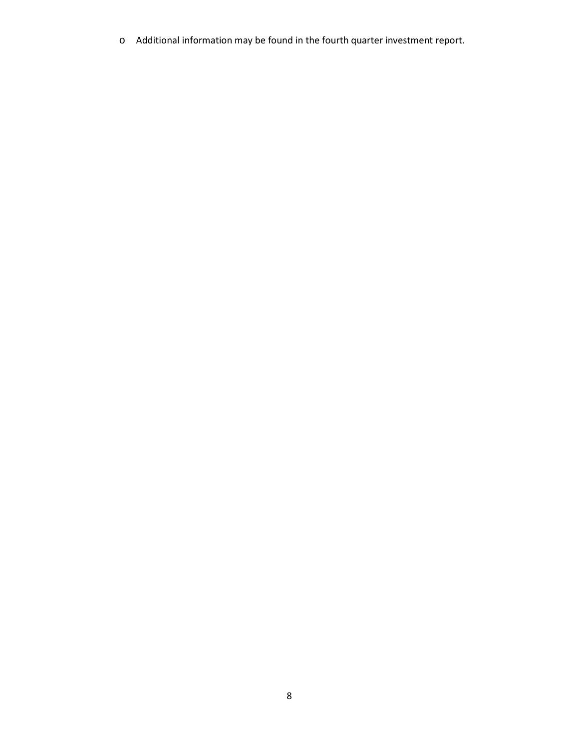o Additional information may be found in the fourth quarter investment report.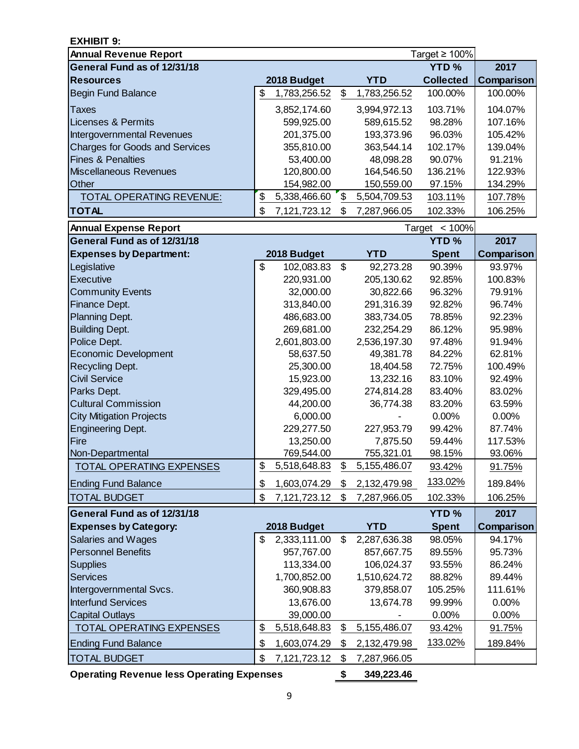| EXHIBIT 9:                                                  |                    |                |              |                                    |                   |
|-------------------------------------------------------------|--------------------|----------------|--------------|------------------------------------|-------------------|
| <b>Annual Revenue Report</b><br>General Fund as of 12/31/18 |                    |                |              | Target $\geq 100\%$<br><b>YTD%</b> | 2017              |
|                                                             |                    |                |              |                                    |                   |
| <b>Resources</b>                                            | 2018 Budget        |                | <b>YTD</b>   | <b>Collected</b>                   | Comparison        |
| <b>Begin Fund Balance</b>                                   | \$<br>1,783,256.52 | \$             | 1,783,256.52 | 100.00%                            | 100.00%           |
| Taxes                                                       | 3,852,174.60       |                | 3,994,972.13 | 103.71%                            | 104.07%           |
| <b>Licenses &amp; Permits</b>                               | 599,925.00         |                | 589,615.52   | 98.28%                             | 107.16%           |
| <b>Intergovernmental Revenues</b>                           | 201,375.00         |                | 193,373.96   | 96.03%                             | 105.42%           |
| <b>Charges for Goods and Services</b>                       | 355,810.00         |                | 363,544.14   | 102.17%                            | 139.04%           |
| <b>Fines &amp; Penalties</b>                                | 53,400.00          |                | 48,098.28    | 90.07%                             | 91.21%            |
| <b>Miscellaneous Revenues</b>                               | 120,800.00         |                | 164,546.50   | 136.21%                            | 122.93%           |
| Other                                                       | 154,982.00         |                | 150,559.00   | 97.15%                             | 134.29%           |
| <b>TOTAL OPERATING REVENUE:</b>                             | \$<br>5,338,466.60 | \$             | 5,504,709.53 | 103.11%                            | 107.78%           |
| <b>TOTAL</b>                                                | \$<br>7,121,723.12 | \$             | 7,287,966.05 | 102.33%                            | 106.25%           |
| <b>Annual Expense Report</b>                                |                    |                |              | Target $<$ 100%                    |                   |
| General Fund as of 12/31/18                                 |                    |                |              | <b>YTD%</b>                        | 2017              |
| <b>Expenses by Department:</b>                              | 2018 Budget        |                | <b>YTD</b>   | <b>Spent</b>                       | Comparison        |
| Legislative                                                 | \$<br>102,083.83   | $\mathcal{S}$  | 92,273.28    | 90.39%                             | 93.97%            |
| <b>Executive</b>                                            | 220,931.00         |                | 205,130.62   | 92.85%                             | 100.83%           |
| <b>Community Events</b>                                     | 32,000.00          |                | 30,822.66    | 96.32%                             | 79.91%            |
| Finance Dept.                                               | 313,840.00         |                | 291,316.39   | 92.82%                             | 96.74%            |
| Planning Dept.                                              | 486,683.00         |                | 383,734.05   | 78.85%                             | 92.23%            |
| <b>Building Dept.</b>                                       | 269,681.00         |                | 232,254.29   | 86.12%                             | 95.98%            |
| Police Dept.                                                | 2,601,803.00       |                | 2,536,197.30 | 97.48%                             | 91.94%            |
| <b>Economic Development</b>                                 | 58,637.50          |                | 49,381.78    | 84.22%                             | 62.81%            |
| <b>Recycling Dept.</b>                                      | 25,300.00          |                | 18,404.58    | 72.75%                             | 100.49%           |
| <b>Civil Service</b>                                        | 15,923.00          |                | 13,232.16    | 83.10%                             | 92.49%            |
| Parks Dept.                                                 | 329,495.00         |                | 274,814.28   | 83.40%                             | 83.02%            |
| <b>Cultural Commission</b>                                  | 44,200.00          |                | 36,774.38    | 83.20%                             | 63.59%            |
| <b>City Mitigation Projects</b>                             | 6,000.00           |                |              | 0.00%                              | 0.00%             |
| <b>Engineering Dept.</b>                                    | 229,277.50         |                | 227,953.79   | 99.42%                             | 87.74%            |
| Fire                                                        | 13,250.00          |                | 7,875.50     | 59.44%                             | 117.53%           |
| Non-Departmental                                            | 769,544.00         |                | 755,321.01   | 98.15%                             | 93.06%            |
| TOTAL OPERATING EXPENSES                                    | \$<br>5,518,648.83 | \$             | 5,155,486.07 | 93.42%                             | 91.75%            |
| <b>Ending Fund Balance</b>                                  | \$<br>1,603,074.29 | S              | 2,132,479.98 | 133.02%                            | 189.84%           |
| <b>TOTAL BUDGET</b>                                         | \$<br>7,121,723.12 | \$             | 7,287,966.05 | 102.33%                            | 106.25%           |
| General Fund as of 12/31/18                                 |                    |                |              | <b>YTD%</b>                        | 2017              |
| <b>Expenses by Category:</b>                                | 2018 Budget        |                | <b>YTD</b>   | <b>Spent</b>                       | <b>Comparison</b> |
| Salaries and Wages                                          | \$<br>2,333,111.00 | $\mathfrak{S}$ | 2,287,636.38 | 98.05%                             | 94.17%            |
| <b>Personnel Benefits</b>                                   | 957,767.00         |                | 857,667.75   | 89.55%                             | 95.73%            |
| <b>Supplies</b>                                             | 113,334.00         |                | 106,024.37   | 93.55%                             | 86.24%            |
| <b>Services</b>                                             | 1,700,852.00       |                | 1,510,624.72 | 88.82%                             | 89.44%            |
| Intergovernmental Svcs.                                     | 360,908.83         |                | 379,858.07   | 105.25%                            | 111.61%           |
| <b>Interfund Services</b>                                   | 13,676.00          |                | 13,674.78    | 99.99%                             | 0.00%             |
| <b>Capital Outlays</b>                                      | 39,000.00          |                |              | 0.00%                              | 0.00%             |
| <b>TOTAL OPERATING EXPENSES</b>                             | \$<br>5,518,648.83 | \$             | 5,155,486.07 | 93.42%                             | 91.75%            |
| <b>Ending Fund Balance</b>                                  | \$<br>1,603,074.29 | \$             | 2,132,479.98 | 133.02%                            | 189.84%           |
| <b>TOTAL BUDGET</b>                                         | \$<br>7,121,723.12 | \$             | 7,287,966.05 |                                    |                   |

**Operating Revenue less Operating Expenses \$ 349,223.46**